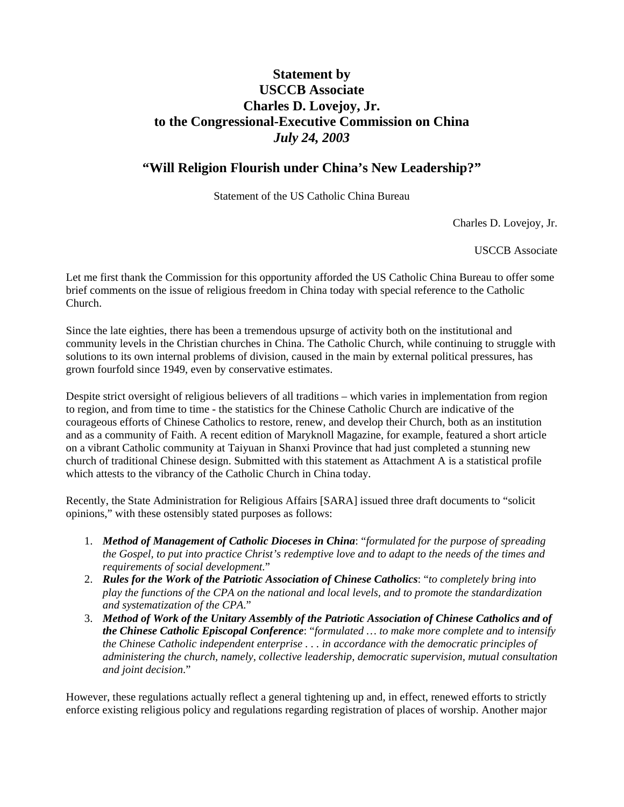## **Statement by USCCB Associate Charles D. Lovejoy, Jr. to the Congressional-Executive Commission on China**  *July 24, 2003*

### **"Will Religion Flourish under China's New Leadership?"**

Statement of the US Catholic China Bureau

Charles D. Lovejoy, Jr.

USCCB Associate

Let me first thank the Commission for this opportunity afforded the US Catholic China Bureau to offer some brief comments on the issue of religious freedom in China today with special reference to the Catholic Church.

Since the late eighties, there has been a tremendous upsurge of activity both on the institutional and community levels in the Christian churches in China. The Catholic Church, while continuing to struggle with solutions to its own internal problems of division, caused in the main by external political pressures, has grown fourfold since 1949, even by conservative estimates.

Despite strict oversight of religious believers of all traditions – which varies in implementation from region to region, and from time to time - the statistics for the Chinese Catholic Church are indicative of the courageous efforts of Chinese Catholics to restore, renew, and develop their Church, both as an institution and as a community of Faith. A recent edition of Maryknoll Magazine, for example, featured a short article on a vibrant Catholic community at Taiyuan in Shanxi Province that had just completed a stunning new church of traditional Chinese design. Submitted with this statement as Attachment A is a statistical profile which attests to the vibrancy of the Catholic Church in China today.

Recently, the State Administration for Religious Affairs [SARA] issued three draft documents to "solicit opinions," with these ostensibly stated purposes as follows:

- 1. *Method of Management of Catholic Dioceses in China*: "*formulated for the purpose of spreading the Gospel, to put into practice Christ's redemptive love and to adapt to the needs of the times and requirements of social development.*"
- 2. *Rules for the Work of the Patriotic Association of Chinese Catholics*: "*to completely bring into play the functions of the CPA on the national and local levels, and to promote the standardization and systematization of the CPA*."
- 3. *Method of Work of the Unitary Assembly of the Patriotic Association of Chinese Catholics and of the Chinese Catholic Episcopal Conference*: "*formulated … to make more complete and to intensify the Chinese Catholic independent enterprise . . . in accordance with the democratic principles of administering the church, namely, collective leadership, democratic supervision, mutual consultation and joint decision*."

However, these regulations actually reflect a general tightening up and, in effect, renewed efforts to strictly enforce existing religious policy and regulations regarding registration of places of worship. Another major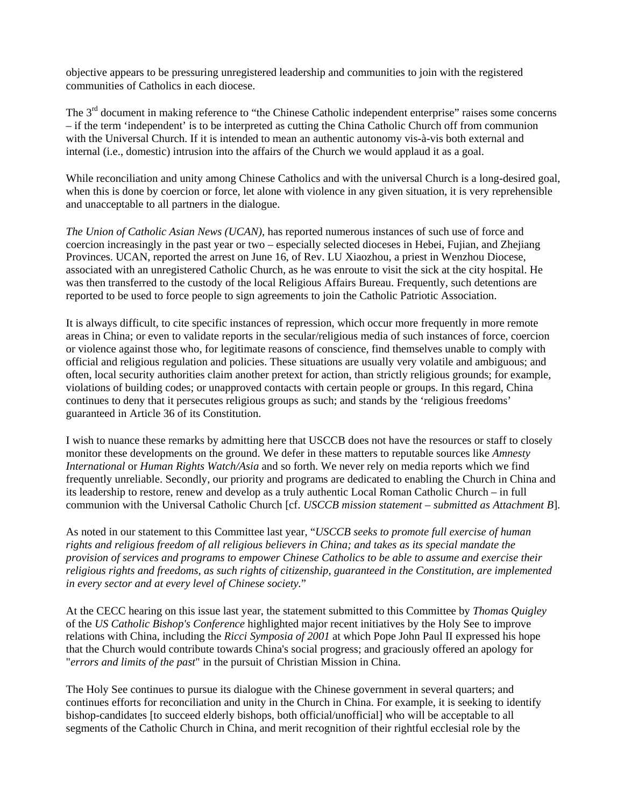objective appears to be pressuring unregistered leadership and communities to join with the registered communities of Catholics in each diocese.

The 3<sup>rd</sup> document in making reference to "the Chinese Catholic independent enterprise" raises some concerns – if the term 'independent' is to be interpreted as cutting the China Catholic Church off from communion with the Universal Church. If it is intended to mean an authentic autonomy vis-à-vis both external and internal (i.e., domestic) intrusion into the affairs of the Church we would applaud it as a goal.

While reconciliation and unity among Chinese Catholics and with the universal Church is a long-desired goal, when this is done by coercion or force, let alone with violence in any given situation, it is very reprehensible and unacceptable to all partners in the dialogue.

*The Union of Catholic Asian News (UCAN),* has reported numerous instances of such use of force and coercion increasingly in the past year or two – especially selected dioceses in Hebei, Fujian, and Zhejiang Provinces. UCAN, reported the arrest on June 16, of Rev. LU Xiaozhou, a priest in Wenzhou Diocese, associated with an unregistered Catholic Church, as he was enroute to visit the sick at the city hospital. He was then transferred to the custody of the local Religious Affairs Bureau. Frequently, such detentions are reported to be used to force people to sign agreements to join the Catholic Patriotic Association.

It is always difficult, to cite specific instances of repression, which occur more frequently in more remote areas in China; or even to validate reports in the secular/religious media of such instances of force, coercion or violence against those who, for legitimate reasons of conscience, find themselves unable to comply with official and religious regulation and policies. These situations are usually very volatile and ambiguous; and often, local security authorities claim another pretext for action, than strictly religious grounds; for example, violations of building codes; or unapproved contacts with certain people or groups. In this regard, China continues to deny that it persecutes religious groups as such; and stands by the 'religious freedoms' guaranteed in Article 36 of its Constitution.

I wish to nuance these remarks by admitting here that USCCB does not have the resources or staff to closely monitor these developments on the ground. We defer in these matters to reputable sources like *Amnesty International* or *Human Rights Watch/Asia* and so forth. We never rely on media reports which we find frequently unreliable. Secondly, our priority and programs are dedicated to enabling the Church in China and its leadership to restore, renew and develop as a truly authentic Local Roman Catholic Church – in full communion with the Universal Catholic Church [cf. *USCCB mission statement – submitted as Attachment B*].

As noted in our statement to this Committee last year, "*USCCB seeks to promote full exercise of human rights and religious freedom of all religious believers in China; and takes as its special mandate the provision of services and programs to empower Chinese Catholics to be able to assume and exercise their religious rights and freedoms, as such rights of citizenship, guaranteed in the Constitution, are implemented in every sector and at every level of Chinese society.*"

At the CECC hearing on this issue last year, the statement submitted to this Committee by *Thomas Quigley* of the *US Catholic Bishop's Conference* highlighted major recent initiatives by the Holy See to improve relations with China, including the *Ricci Symposia of 2001* at which Pope John Paul II expressed his hope that the Church would contribute towards China's social progress; and graciously offered an apology for "*errors and limits of the past*" in the pursuit of Christian Mission in China.

The Holy See continues to pursue its dialogue with the Chinese government in several quarters; and continues efforts for reconciliation and unity in the Church in China. For example, it is seeking to identify bishop-candidates [to succeed elderly bishops, both official/unofficial] who will be acceptable to all segments of the Catholic Church in China, and merit recognition of their rightful ecclesial role by the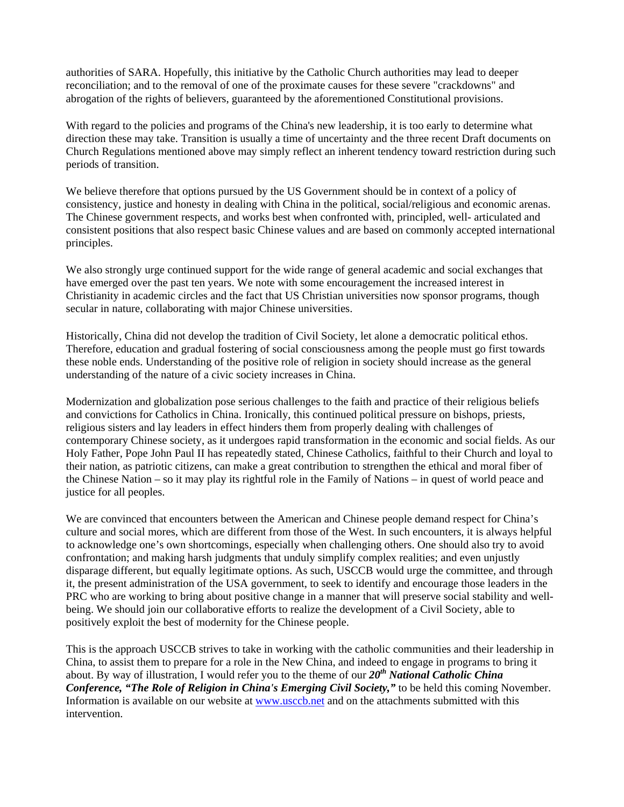authorities of SARA. Hopefully, this initiative by the Catholic Church authorities may lead to deeper reconciliation; and to the removal of one of the proximate causes for these severe "crackdowns" and abrogation of the rights of believers, guaranteed by the aforementioned Constitutional provisions.

With regard to the policies and programs of the China's new leadership, it is too early to determine what direction these may take. Transition is usually a time of uncertainty and the three recent Draft documents on Church Regulations mentioned above may simply reflect an inherent tendency toward restriction during such periods of transition.

We believe therefore that options pursued by the US Government should be in context of a policy of consistency, justice and honesty in dealing with China in the political, social/religious and economic arenas. The Chinese government respects, and works best when confronted with, principled, well- articulated and consistent positions that also respect basic Chinese values and are based on commonly accepted international principles.

We also strongly urge continued support for the wide range of general academic and social exchanges that have emerged over the past ten years. We note with some encouragement the increased interest in Christianity in academic circles and the fact that US Christian universities now sponsor programs, though secular in nature, collaborating with major Chinese universities.

Historically, China did not develop the tradition of Civil Society, let alone a democratic political ethos. Therefore, education and gradual fostering of social consciousness among the people must go first towards these noble ends. Understanding of the positive role of religion in society should increase as the general understanding of the nature of a civic society increases in China.

Modernization and globalization pose serious challenges to the faith and practice of their religious beliefs and convictions for Catholics in China. Ironically, this continued political pressure on bishops, priests, religious sisters and lay leaders in effect hinders them from properly dealing with challenges of contemporary Chinese society, as it undergoes rapid transformation in the economic and social fields. As our Holy Father, Pope John Paul II has repeatedly stated, Chinese Catholics, faithful to their Church and loyal to their nation, as patriotic citizens, can make a great contribution to strengthen the ethical and moral fiber of the Chinese Nation – so it may play its rightful role in the Family of Nations – in quest of world peace and justice for all peoples.

We are convinced that encounters between the American and Chinese people demand respect for China's culture and social mores, which are different from those of the West. In such encounters, it is always helpful to acknowledge one's own shortcomings, especially when challenging others. One should also try to avoid confrontation; and making harsh judgments that unduly simplify complex realities; and even unjustly disparage different, but equally legitimate options. As such, USCCB would urge the committee, and through it, the present administration of the USA government, to seek to identify and encourage those leaders in the PRC who are working to bring about positive change in a manner that will preserve social stability and wellbeing. We should join our collaborative efforts to realize the development of a Civil Society, able to positively exploit the best of modernity for the Chinese people.

This is the approach USCCB strives to take in working with the catholic communities and their leadership in China, to assist them to prepare for a role in the New China, and indeed to engage in programs to bring it about. By way of illustration, I would refer you to the theme of our *20th National Catholic China Conference, "The Role of Religion in China's Emerging Civil Society,"* to be held this coming November. Information is available on our website at www.usccb.net and on the attachments submitted with this intervention.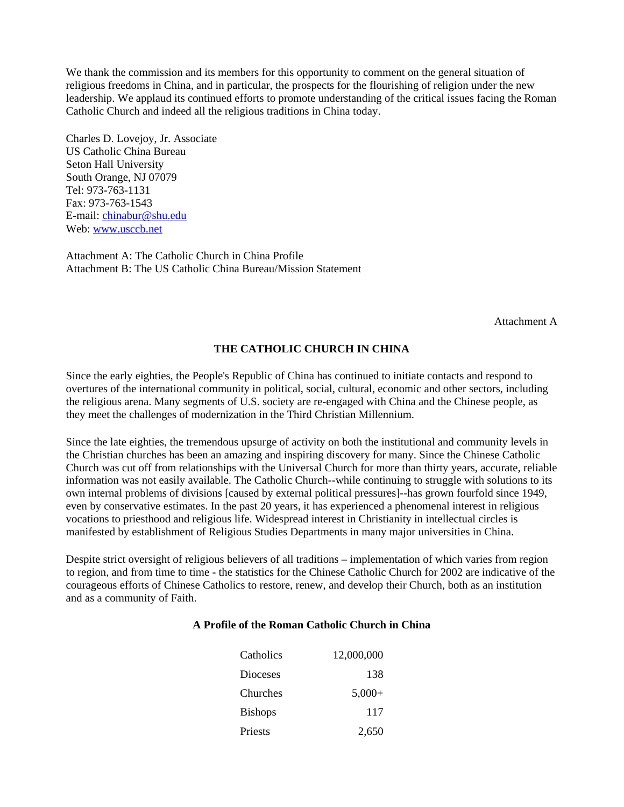We thank the commission and its members for this opportunity to comment on the general situation of religious freedoms in China, and in particular, the prospects for the flourishing of religion under the new leadership. We applaud its continued efforts to promote understanding of the critical issues facing the Roman Catholic Church and indeed all the religious traditions in China today.

Charles D. Lovejoy, Jr. Associate US Catholic China Bureau Seton Hall University South Orange, NJ 07079 Tel: 973-763-1131 Fax: 973-763-1543 E-mail: chinabur@shu.edu Web: www.usccb.net

Attachment A: The Catholic Church in China Profile Attachment B: The US Catholic China Bureau/Mission Statement

Attachment A

#### **THE CATHOLIC CHURCH IN CHINA**

Since the early eighties, the People's Republic of China has continued to initiate contacts and respond to overtures of the international community in political, social, cultural, economic and other sectors, including the religious arena. Many segments of U.S. society are re-engaged with China and the Chinese people, as they meet the challenges of modernization in the Third Christian Millennium.

Since the late eighties, the tremendous upsurge of activity on both the institutional and community levels in the Christian churches has been an amazing and inspiring discovery for many. Since the Chinese Catholic Church was cut off from relationships with the Universal Church for more than thirty years, accurate, reliable information was not easily available. The Catholic Church--while continuing to struggle with solutions to its own internal problems of divisions [caused by external political pressures]--has grown fourfold since 1949, even by conservative estimates. In the past 20 years, it has experienced a phenomenal interest in religious vocations to priesthood and religious life. Widespread interest in Christianity in intellectual circles is manifested by establishment of Religious Studies Departments in many major universities in China.

Despite strict oversight of religious believers of all traditions – implementation of which varies from region to region, and from time to time - the statistics for the Chinese Catholic Church for 2002 are indicative of the courageous efforts of Chinese Catholics to restore, renew, and develop their Church, both as an institution and as a community of Faith.

#### **A Profile of the Roman Catholic Church in China**

| Catholics       | 12,000,000 |
|-----------------|------------|
| <b>Dioceses</b> | 138        |
| Churches        | $5.000+$   |
| <b>Bishops</b>  | 117        |
| Priests         | 2,650      |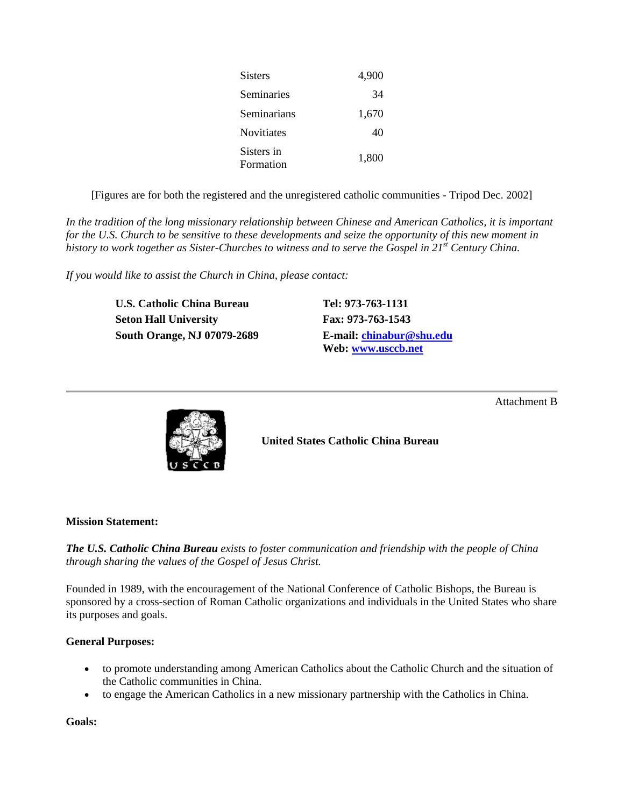| Sisters                 | 4,900 |
|-------------------------|-------|
| Seminaries              | 34    |
| Seminarians             | 1,670 |
| Novitiates              | 40    |
| Sisters in<br>Formation | 1,800 |

[Figures are for both the registered and the unregistered catholic communities - Tripod Dec. 2002]

*In the tradition of the long missionary relationship between Chinese and American Catholics, it is important for the U.S. Church to be sensitive to these developments and seize the opportunity of this new moment in history to work together as Sister-Churches to witness and to serve the Gospel in 21st Century China.*

*If you would like to assist the Church in China, please contact:*

**U.S. Catholic China Bureau Tel: 973-763-1131 Seton Hall University Fax: 973-763-1543 South Orange, NJ 07079-2689 E-mail: chinabur@shu.edu**

**Web: www.usccb.net**

Attachment B



**United States Catholic China Bureau**

#### **Mission Statement:**

*The U.S. Catholic China Bureau exists to foster communication and friendship with the people of China through sharing the values of the Gospel of Jesus Christ.*

Founded in 1989, with the encouragement of the National Conference of Catholic Bishops, the Bureau is sponsored by a cross-section of Roman Catholic organizations and individuals in the United States who share its purposes and goals.

#### **General Purposes:**

- to promote understanding among American Catholics about the Catholic Church and the situation of the Catholic communities in China.
- to engage the American Catholics in a new missionary partnership with the Catholics in China.

**Goals:**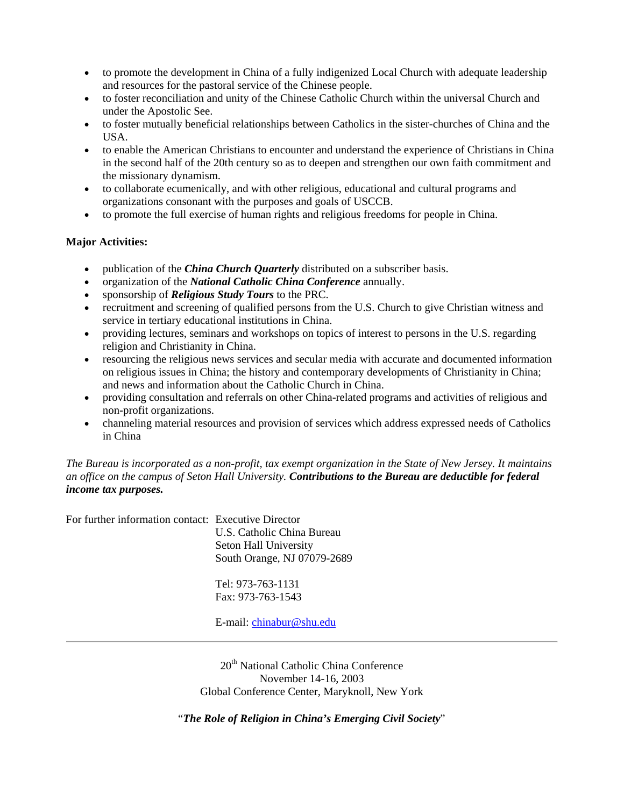- to promote the development in China of a fully indigenized Local Church with adequate leadership and resources for the pastoral service of the Chinese people.
- to foster reconciliation and unity of the Chinese Catholic Church within the universal Church and under the Apostolic See.
- to foster mutually beneficial relationships between Catholics in the sister-churches of China and the USA.
- to enable the American Christians to encounter and understand the experience of Christians in China in the second half of the 20th century so as to deepen and strengthen our own faith commitment and the missionary dynamism.
- to collaborate ecumenically, and with other religious, educational and cultural programs and organizations consonant with the purposes and goals of USCCB.
- to promote the full exercise of human rights and religious freedoms for people in China.

#### **Major Activities:**

- publication of the *China Church Quarterly* distributed on a subscriber basis.
- organization of the *National Catholic China Conference* annually.
- sponsorship of *Religious Study Tours* to the PRC.
- recruitment and screening of qualified persons from the U.S. Church to give Christian witness and service in tertiary educational institutions in China.
- providing lectures, seminars and workshops on topics of interest to persons in the U.S. regarding religion and Christianity in China.
- resourcing the religious news services and secular media with accurate and documented information on religious issues in China; the history and contemporary developments of Christianity in China; and news and information about the Catholic Church in China.
- providing consultation and referrals on other China-related programs and activities of religious and non-profit organizations.
- channeling material resources and provision of services which address expressed needs of Catholics in China

#### *The Bureau is incorporated as a non-profit, tax exempt organization in the State of New Jersey. It maintains an office on the campus of Seton Hall University. Contributions to the Bureau are deductible for federal income tax purposes.*

For further information contact: Executive Director

U.S. Catholic China Bureau Seton Hall University South Orange, NJ 07079-2689

Tel: 973-763-1131 Fax: 973-763-1543

E-mail: chinabur@shu.edu

20<sup>th</sup> National Catholic China Conference November 14-16, 2003 Global Conference Center, Maryknoll, New York

"*The Role of Religion in China's Emerging Civil Society*"